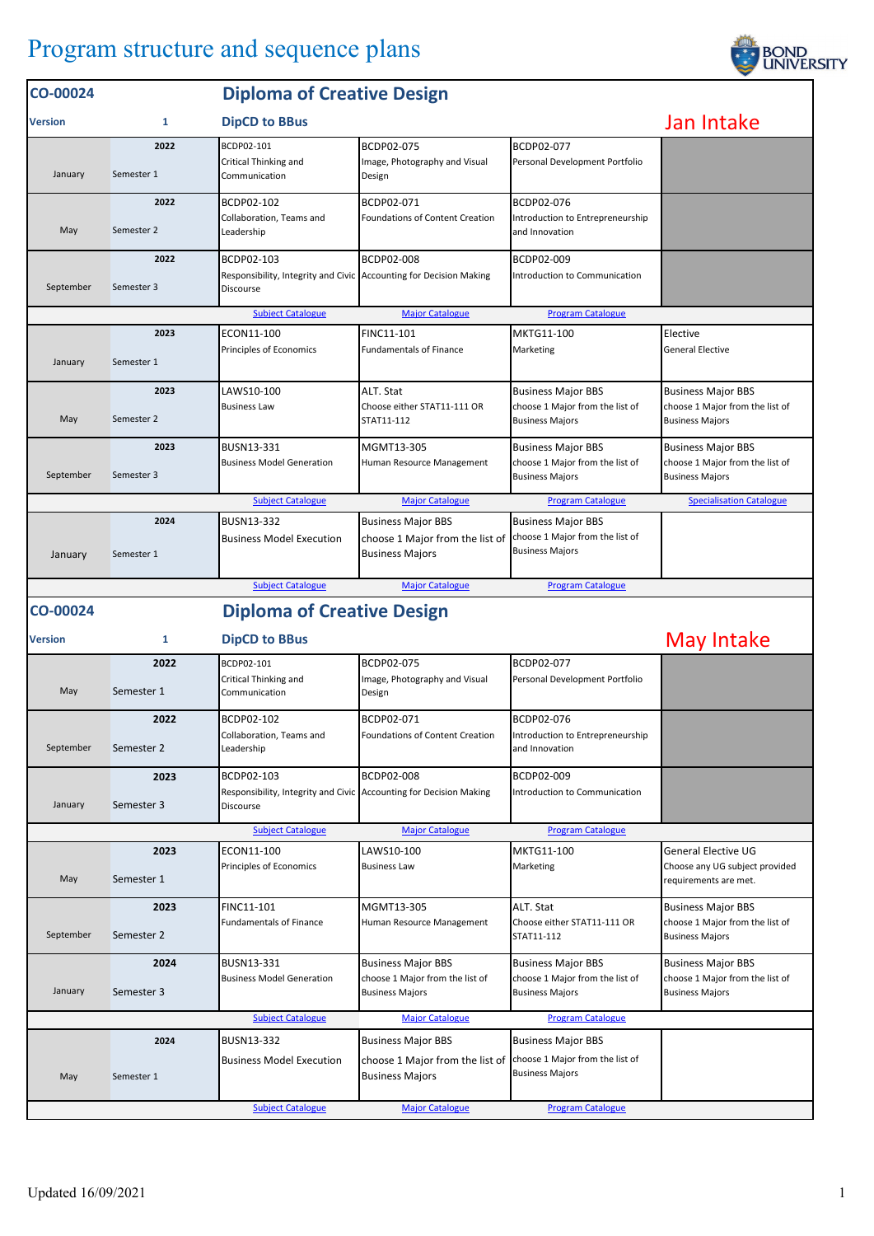## Program structure and sequence plans

| CO-00024       |                    | <b>Diploma of Creative Design</b>                                                             |                                                                                        |                                                                                        |                                                                                        |  |
|----------------|--------------------|-----------------------------------------------------------------------------------------------|----------------------------------------------------------------------------------------|----------------------------------------------------------------------------------------|----------------------------------------------------------------------------------------|--|
| <b>Version</b> | 1                  | <b>DipCD to BBus</b>                                                                          | Jan Intake                                                                             |                                                                                        |                                                                                        |  |
|                | 2022               | BCDP02-101                                                                                    | BCDP02-075                                                                             | BCDP02-077                                                                             |                                                                                        |  |
| January        | Semester 1         | Critical Thinking and<br>Communication                                                        | Image, Photography and Visual<br>Design                                                | Personal Development Portfolio                                                         |                                                                                        |  |
|                | 2022               | BCDP02-102                                                                                    | BCDP02-071                                                                             | BCDP02-076                                                                             |                                                                                        |  |
| May            | Semester 2         | Collaboration, Teams and<br>Leadership                                                        | <b>Foundations of Content Creation</b>                                                 | Introduction to Entrepreneurship<br>and Innovation                                     |                                                                                        |  |
| September      | 2022<br>Semester 3 | BCDP02-103<br>Responsibility, Integrity and Civic Accounting for Decision Making<br>Discourse | <b>BCDP02-008</b>                                                                      | BCDP02-009<br>Introduction to Communication                                            |                                                                                        |  |
|                |                    | <b>Subject Catalogue</b>                                                                      | <b>Major Catalogue</b>                                                                 | <b>Program Catalogue</b>                                                               |                                                                                        |  |
|                | 2023               | ECON11-100                                                                                    | FINC11-101                                                                             | MKTG11-100                                                                             | Elective                                                                               |  |
| January        | Semester 1         | Principles of Economics                                                                       | <b>Fundamentals of Finance</b>                                                         | Marketing                                                                              | General Elective                                                                       |  |
| May            | 2023<br>Semester 2 | LAWS10-100<br><b>Business Law</b>                                                             | ALT. Stat<br>Choose either STAT11-111 OR<br>STAT11-112                                 | <b>Business Major BBS</b><br>choose 1 Major from the list of<br><b>Business Majors</b> | <b>Business Major BBS</b><br>choose 1 Major from the list of<br><b>Business Majors</b> |  |
|                | 2023               | BUSN13-331                                                                                    | MGMT13-305                                                                             | <b>Business Major BBS</b>                                                              | <b>Business Major BBS</b>                                                              |  |
| September      | Semester 3         | <b>Business Model Generation</b>                                                              | Human Resource Management                                                              | choose 1 Major from the list of<br><b>Business Majors</b>                              | choose 1 Major from the list of<br><b>Business Majors</b>                              |  |
|                |                    | <b>Subject Catalogue</b>                                                                      | <b>Major Catalogue</b>                                                                 | <b>Program Catalogue</b>                                                               | <b>Specialisation Catalogue</b>                                                        |  |
| January        | 2024<br>Semester 1 | <b>BUSN13-332</b><br><b>Business Model Execution</b>                                          | <b>Business Major BBS</b><br>choose 1 Major from the list of<br><b>Business Majors</b> | <b>Business Major BBS</b><br>choose 1 Major from the list of<br><b>Business Majors</b> |                                                                                        |  |
|                |                    | <b>Subject Catalogue</b>                                                                      | <b>Major Catalogue</b>                                                                 | <b>Program Catalogue</b>                                                               |                                                                                        |  |
| CO-00024       |                    | <b>Diploma of Creative Design</b>                                                             |                                                                                        |                                                                                        |                                                                                        |  |
| <b>Version</b> | 1                  | <b>DipCD to BBus</b>                                                                          |                                                                                        |                                                                                        |                                                                                        |  |
|                |                    |                                                                                               |                                                                                        |                                                                                        | May Intake                                                                             |  |
|                | 2022               | BCDP02-101                                                                                    | BCDP02-075                                                                             | BCDP02-077                                                                             |                                                                                        |  |
| May            | Semester 1         | Critical Thinking and<br>Communication                                                        | Image, Photography and Visual<br>Design                                                | Personal Development Portfolio                                                         |                                                                                        |  |
|                | 2022               | BCDP02-102                                                                                    | BCDP02-071                                                                             | BCDP02-076                                                                             |                                                                                        |  |
| September      | Semester 2         | Collaboration, Teams and<br>Leadership                                                        | Foundations of Content Creation                                                        | Introduction to Entrepreneurship<br>and Innovation                                     |                                                                                        |  |
|                | 2023               | BCDP02-103                                                                                    | BCDP02-008                                                                             | BCDP02-009                                                                             |                                                                                        |  |
| January        | Semester 3         | Responsibility, Integrity and Civic Accounting for Decision Making<br>Discourse               |                                                                                        | Introduction to Communication                                                          |                                                                                        |  |
|                |                    | <b>Subject Catalogue</b>                                                                      | <b>Major Catalogue</b>                                                                 | <b>Program Catalogue</b>                                                               |                                                                                        |  |
|                | 2023               | ECON11-100                                                                                    | LAWS10-100                                                                             | MKTG11-100                                                                             | <b>General Elective UG</b>                                                             |  |
| May            | Semester 1         | Principles of Economics                                                                       | <b>Business Law</b>                                                                    | Marketing                                                                              | Choose any UG subject provided<br>requirements are met.                                |  |
|                | 2023               | FINC11-101                                                                                    | MGMT13-305                                                                             | ALT. Stat                                                                              | <b>Business Major BBS</b>                                                              |  |
| September      | Semester 2         | <b>Fundamentals of Finance</b>                                                                | Human Resource Management                                                              | Choose either STAT11-111 OR<br>STAT11-112                                              | choose 1 Major from the list of<br><b>Business Majors</b>                              |  |
| January        | 2024<br>Semester 3 | BUSN13-331<br><b>Business Model Generation</b>                                                | <b>Business Major BBS</b><br>choose 1 Major from the list of<br><b>Business Majors</b> | <b>Business Major BBS</b><br>choose 1 Major from the list of<br><b>Business Majors</b> | <b>Business Major BBS</b><br>choose 1 Major from the list of<br><b>Business Majors</b> |  |
|                |                    |                                                                                               |                                                                                        |                                                                                        |                                                                                        |  |
|                |                    | <b>Subject Catalogue</b>                                                                      | <b>Major Catalogue</b>                                                                 | <b>Program Catalogue</b>                                                               |                                                                                        |  |
| May            | 2024<br>Semester 1 | <b>BUSN13-332</b><br><b>Business Model Execution</b>                                          | <b>Business Major BBS</b><br>choose 1 Major from the list of<br><b>Business Majors</b> | <b>Business Major BBS</b><br>choose 1 Major from the list of<br><b>Business Majors</b> |                                                                                        |  |

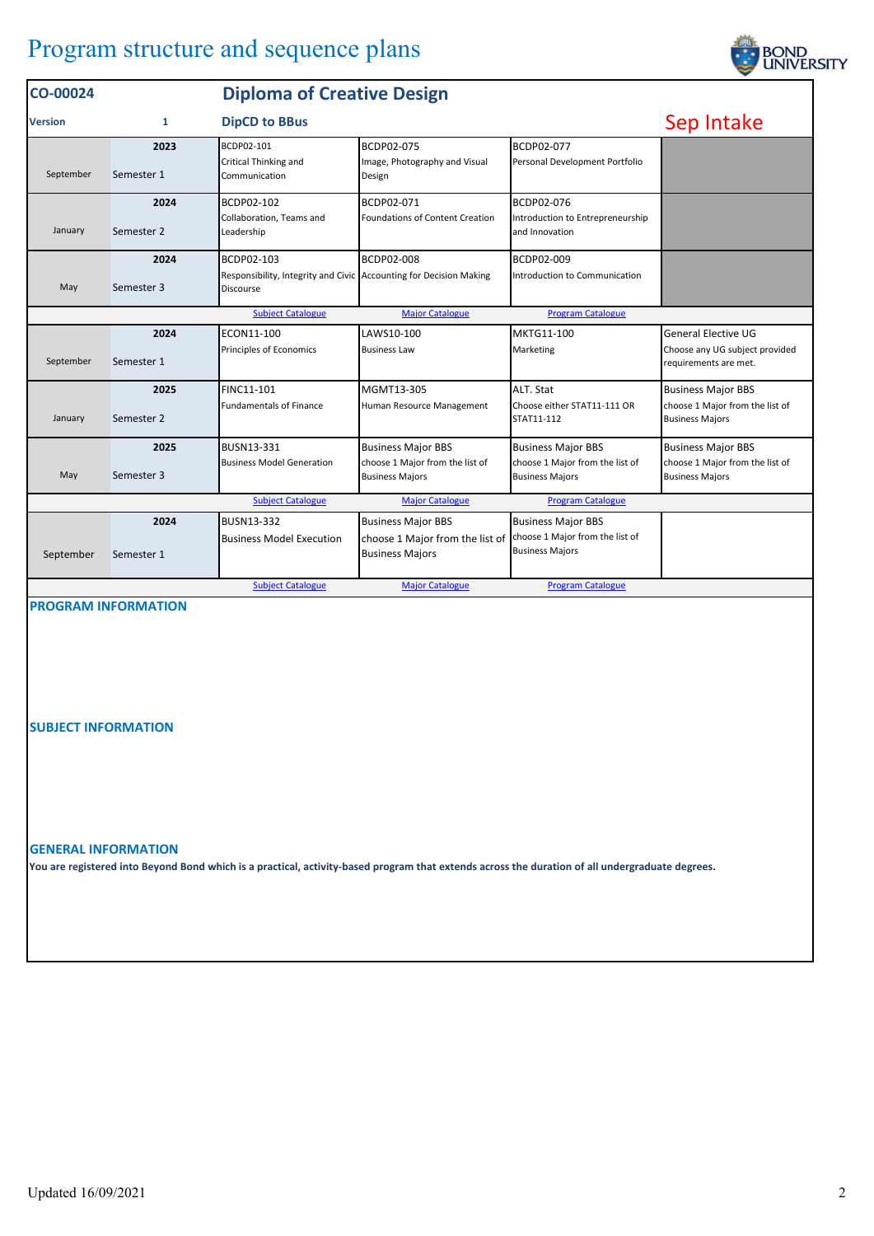## Program structure and sequence plans

| Sep Intake<br><b>DipCD to BBus</b><br>1<br><b>Version</b><br>BCDP02-077<br>BCDP02-075<br>2023<br>BCDP02-101<br>Critical Thinking and<br>Image, Photography and Visual<br>Personal Development Portfolio<br>September<br>Semester 1<br>Communication<br>Design<br>BCDP02-071<br>BCDP02-076<br>BCDP02-102<br>2024<br><b>Foundations of Content Creation</b><br>Collaboration. Teams and<br>Introduction to Entrepreneurship<br>January<br>Semester 2<br>Leadership<br>and Innovation<br>2024<br>BCDP02-008<br>BCDP02-103<br>BCDP02-009<br>Responsibility, Integrity and Civic Accounting for Decision Making<br>Introduction to Communication<br>Semester 3<br>May<br>Discourse<br><b>Subject Catalogue</b><br><b>Major Catalogue</b><br><b>Program Catalogue</b><br>ECON11-100<br>LAWS10-100<br>MKTG11-100<br><b>General Elective UG</b><br>2024<br>Principles of Economics<br>Marketing<br><b>Business Law</b><br>September<br>Semester 1<br>requirements are met.<br>2025<br>FINC11-101<br>MGMT13-305<br>ALT. Stat<br><b>Business Major BBS</b><br><b>Fundamentals of Finance</b><br>Choose either STAT11-111 OR<br>Human Resource Management<br>January<br>Semester 2<br>STAT11-112<br><b>Business Majors</b><br>2025<br>BUSN13-331<br><b>Business Major BBS</b><br><b>Business Major BBS</b><br><b>Business Major BBS</b><br>choose 1 Major from the list of<br><b>Business Model Generation</b><br>choose 1 Major from the list of<br>May<br>Semester 3<br><b>Business Majors</b><br><b>Business Majors</b><br><b>Business Majors</b><br><b>Subject Catalogue</b><br><b>Major Catalogue</b><br><b>Program Catalogue</b><br>2024<br>BUSN13-332<br><b>Business Major BBS</b><br><b>Business Major BBS</b><br>choose 1 Major from the list of<br><b>Business Model Execution</b><br>choose 1 Major from the list of<br><b>Business Majors</b><br><b>Business Majors</b><br>September<br>Semester 1 | CO-00024 |  |  |  |                                 |
|-----------------------------------------------------------------------------------------------------------------------------------------------------------------------------------------------------------------------------------------------------------------------------------------------------------------------------------------------------------------------------------------------------------------------------------------------------------------------------------------------------------------------------------------------------------------------------------------------------------------------------------------------------------------------------------------------------------------------------------------------------------------------------------------------------------------------------------------------------------------------------------------------------------------------------------------------------------------------------------------------------------------------------------------------------------------------------------------------------------------------------------------------------------------------------------------------------------------------------------------------------------------------------------------------------------------------------------------------------------------------------------------------------------------------------------------------------------------------------------------------------------------------------------------------------------------------------------------------------------------------------------------------------------------------------------------------------------------------------------------------------------------------------------------------------------------------------------------------------------------------------------------------------|----------|--|--|--|---------------------------------|
|                                                                                                                                                                                                                                                                                                                                                                                                                                                                                                                                                                                                                                                                                                                                                                                                                                                                                                                                                                                                                                                                                                                                                                                                                                                                                                                                                                                                                                                                                                                                                                                                                                                                                                                                                                                                                                                                                                     |          |  |  |  |                                 |
|                                                                                                                                                                                                                                                                                                                                                                                                                                                                                                                                                                                                                                                                                                                                                                                                                                                                                                                                                                                                                                                                                                                                                                                                                                                                                                                                                                                                                                                                                                                                                                                                                                                                                                                                                                                                                                                                                                     |          |  |  |  |                                 |
|                                                                                                                                                                                                                                                                                                                                                                                                                                                                                                                                                                                                                                                                                                                                                                                                                                                                                                                                                                                                                                                                                                                                                                                                                                                                                                                                                                                                                                                                                                                                                                                                                                                                                                                                                                                                                                                                                                     |          |  |  |  |                                 |
|                                                                                                                                                                                                                                                                                                                                                                                                                                                                                                                                                                                                                                                                                                                                                                                                                                                                                                                                                                                                                                                                                                                                                                                                                                                                                                                                                                                                                                                                                                                                                                                                                                                                                                                                                                                                                                                                                                     |          |  |  |  |                                 |
|                                                                                                                                                                                                                                                                                                                                                                                                                                                                                                                                                                                                                                                                                                                                                                                                                                                                                                                                                                                                                                                                                                                                                                                                                                                                                                                                                                                                                                                                                                                                                                                                                                                                                                                                                                                                                                                                                                     |          |  |  |  |                                 |
|                                                                                                                                                                                                                                                                                                                                                                                                                                                                                                                                                                                                                                                                                                                                                                                                                                                                                                                                                                                                                                                                                                                                                                                                                                                                                                                                                                                                                                                                                                                                                                                                                                                                                                                                                                                                                                                                                                     |          |  |  |  | Choose any UG subject provided  |
|                                                                                                                                                                                                                                                                                                                                                                                                                                                                                                                                                                                                                                                                                                                                                                                                                                                                                                                                                                                                                                                                                                                                                                                                                                                                                                                                                                                                                                                                                                                                                                                                                                                                                                                                                                                                                                                                                                     |          |  |  |  | choose 1 Major from the list of |
|                                                                                                                                                                                                                                                                                                                                                                                                                                                                                                                                                                                                                                                                                                                                                                                                                                                                                                                                                                                                                                                                                                                                                                                                                                                                                                                                                                                                                                                                                                                                                                                                                                                                                                                                                                                                                                                                                                     |          |  |  |  | choose 1 Major from the list of |
|                                                                                                                                                                                                                                                                                                                                                                                                                                                                                                                                                                                                                                                                                                                                                                                                                                                                                                                                                                                                                                                                                                                                                                                                                                                                                                                                                                                                                                                                                                                                                                                                                                                                                                                                                                                                                                                                                                     |          |  |  |  |                                 |
| <b>Major Catalogue</b><br><b>Subject Catalogue</b><br><b>Program Catalogue</b>                                                                                                                                                                                                                                                                                                                                                                                                                                                                                                                                                                                                                                                                                                                                                                                                                                                                                                                                                                                                                                                                                                                                                                                                                                                                                                                                                                                                                                                                                                                                                                                                                                                                                                                                                                                                                      |          |  |  |  |                                 |

## **PROGRAM INFORMATION**

**SUBJECT INFORMATION**

**GENERAL INFORMATION**

**You are registered into Beyond Bond which is a practical, activity-based program that extends across the duration of all undergraduate degrees.**